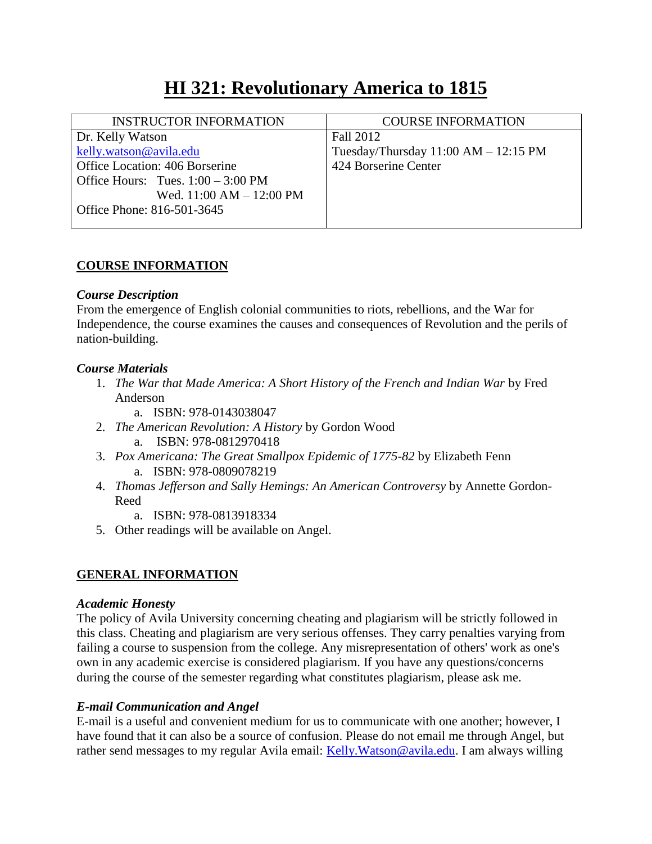# **HI 321: Revolutionary America to 1815**

| <b>INSTRUCTOR INFORMATION</b>                | <b>COURSE INFORMATION</b>                |
|----------------------------------------------|------------------------------------------|
| Dr. Kelly Watson                             | Fall 2012                                |
| kelly.watson@avila.edu                       | Tuesday/Thursday $11:00$ AM $- 12:15$ PM |
| Office Location: 406 Borserine               | 424 Borserine Center                     |
| Office Hours: Tues. $1:00 - 3:00 \text{ PM}$ |                                          |
| Wed. $11:00 AM - 12:00 PM$                   |                                          |
| Office Phone: 816-501-3645                   |                                          |
|                                              |                                          |

# **COURSE INFORMATION**

## *Course Description*

From the emergence of English colonial communities to riots, rebellions, and the War for Independence, the course examines the causes and consequences of Revolution and the perils of nation-building.

## *Course Materials*

- 1. *The War that Made America: A Short History of the French and Indian War* by Fred Anderson
	- a. ISBN: 978-0143038047
- 2. *The American Revolution: A History* by Gordon Wood a. ISBN: 978-0812970418
- 3. *Pox Americana: The Great Smallpox Epidemic of 1775-82* by Elizabeth Fenn a. ISBN: 978-0809078219
- 4. *Thomas Jefferson and Sally Hemings: An American Controversy* by Annette Gordon-Reed
	- a. ISBN: 978-0813918334
- 5. Other readings will be available on Angel.

# **GENERAL INFORMATION**

#### *Academic Honesty*

The policy of Avila University concerning cheating and plagiarism will be strictly followed in this class. Cheating and plagiarism are very serious offenses. They carry penalties varying from failing a course to suspension from the college. Any misrepresentation of others' work as one's own in any academic exercise is considered plagiarism. If you have any questions/concerns during the course of the semester regarding what constitutes plagiarism, please ask me.

# *E-mail Communication and Angel*

E-mail is a useful and convenient medium for us to communicate with one another; however, I have found that it can also be a source of confusion. Please do not email me through Angel, but rather send messages to my regular Avila email: [Kelly.Watson@avila.edu.](mailto:Kelly.Watson@avila.edu) I am always willing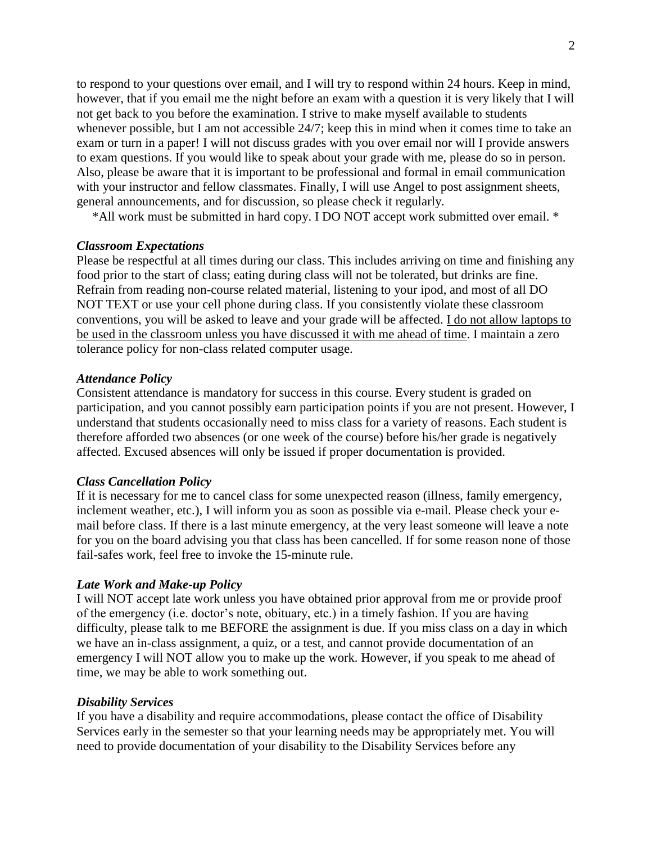to respond to your questions over email, and I will try to respond within 24 hours. Keep in mind, however, that if you email me the night before an exam with a question it is very likely that I will not get back to you before the examination. I strive to make myself available to students whenever possible, but I am not accessible 24/7; keep this in mind when it comes time to take an exam or turn in a paper! I will not discuss grades with you over email nor will I provide answers to exam questions. If you would like to speak about your grade with me, please do so in person. Also, please be aware that it is important to be professional and formal in email communication with your instructor and fellow classmates. Finally, I will use Angel to post assignment sheets, general announcements, and for discussion, so please check it regularly.

\*All work must be submitted in hard copy. I DO NOT accept work submitted over email. \*

#### *Classroom Expectations*

Please be respectful at all times during our class. This includes arriving on time and finishing any food prior to the start of class; eating during class will not be tolerated, but drinks are fine. Refrain from reading non-course related material, listening to your ipod, and most of all DO NOT TEXT or use your cell phone during class. If you consistently violate these classroom conventions, you will be asked to leave and your grade will be affected. I do not allow laptops to be used in the classroom unless you have discussed it with me ahead of time. I maintain a zero tolerance policy for non-class related computer usage.

#### *Attendance Policy*

Consistent attendance is mandatory for success in this course. Every student is graded on participation, and you cannot possibly earn participation points if you are not present. However, I understand that students occasionally need to miss class for a variety of reasons. Each student is therefore afforded two absences (or one week of the course) before his/her grade is negatively affected. Excused absences will only be issued if proper documentation is provided.

#### *Class Cancellation Policy*

If it is necessary for me to cancel class for some unexpected reason (illness, family emergency, inclement weather, etc.), I will inform you as soon as possible via e-mail. Please check your email before class. If there is a last minute emergency, at the very least someone will leave a note for you on the board advising you that class has been cancelled. If for some reason none of those fail-safes work, feel free to invoke the 15-minute rule.

#### *Late Work and Make-up Policy*

I will NOT accept late work unless you have obtained prior approval from me or provide proof of the emergency (i.e. doctor's note, obituary, etc.) in a timely fashion. If you are having difficulty, please talk to me BEFORE the assignment is due. If you miss class on a day in which we have an in-class assignment, a quiz, or a test, and cannot provide documentation of an emergency I will NOT allow you to make up the work. However, if you speak to me ahead of time, we may be able to work something out.

#### *Disability Services*

If you have a disability and require accommodations, please contact the office of Disability Services early in the semester so that your learning needs may be appropriately met. You will need to provide documentation of your disability to the Disability Services before any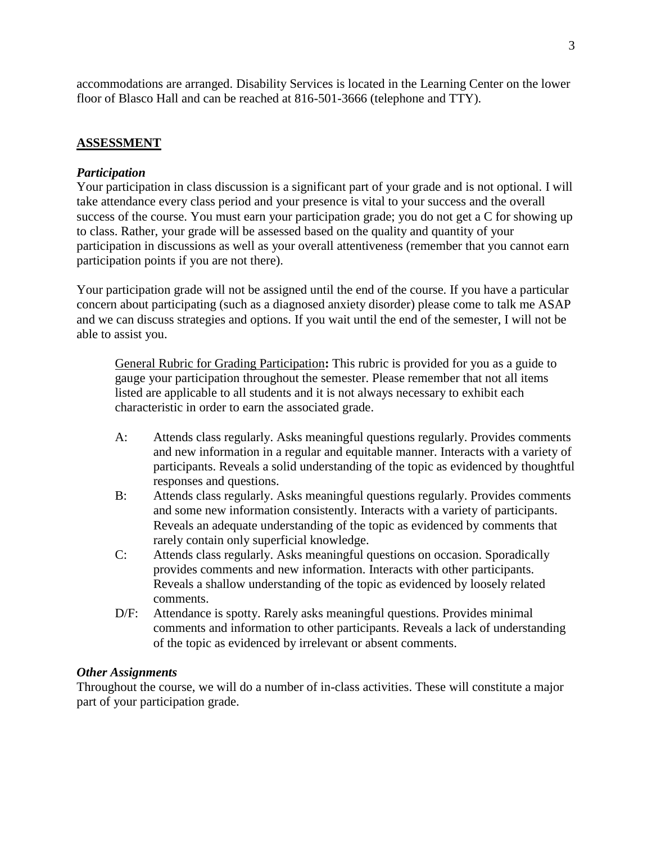accommodations are arranged. Disability Services is located in the Learning Center on the lower floor of Blasco Hall and can be reached at 816-501-3666 (telephone and TTY).

# **ASSESSMENT**

#### *Participation*

Your participation in class discussion is a significant part of your grade and is not optional. I will take attendance every class period and your presence is vital to your success and the overall success of the course. You must earn your participation grade; you do not get a C for showing up to class. Rather, your grade will be assessed based on the quality and quantity of your participation in discussions as well as your overall attentiveness (remember that you cannot earn participation points if you are not there).

Your participation grade will not be assigned until the end of the course. If you have a particular concern about participating (such as a diagnosed anxiety disorder) please come to talk me ASAP and we can discuss strategies and options. If you wait until the end of the semester, I will not be able to assist you.

General Rubric for Grading Participation**:** This rubric is provided for you as a guide to gauge your participation throughout the semester. Please remember that not all items listed are applicable to all students and it is not always necessary to exhibit each characteristic in order to earn the associated grade.

- A: Attends class regularly. Asks meaningful questions regularly. Provides comments and new information in a regular and equitable manner. Interacts with a variety of participants. Reveals a solid understanding of the topic as evidenced by thoughtful responses and questions.
- B: Attends class regularly. Asks meaningful questions regularly. Provides comments and some new information consistently. Interacts with a variety of participants. Reveals an adequate understanding of the topic as evidenced by comments that rarely contain only superficial knowledge.
- C: Attends class regularly. Asks meaningful questions on occasion. Sporadically provides comments and new information. Interacts with other participants. Reveals a shallow understanding of the topic as evidenced by loosely related comments.
- D/F: Attendance is spotty. Rarely asks meaningful questions. Provides minimal comments and information to other participants. Reveals a lack of understanding of the topic as evidenced by irrelevant or absent comments.

#### *Other Assignments*

Throughout the course, we will do a number of in-class activities. These will constitute a major part of your participation grade.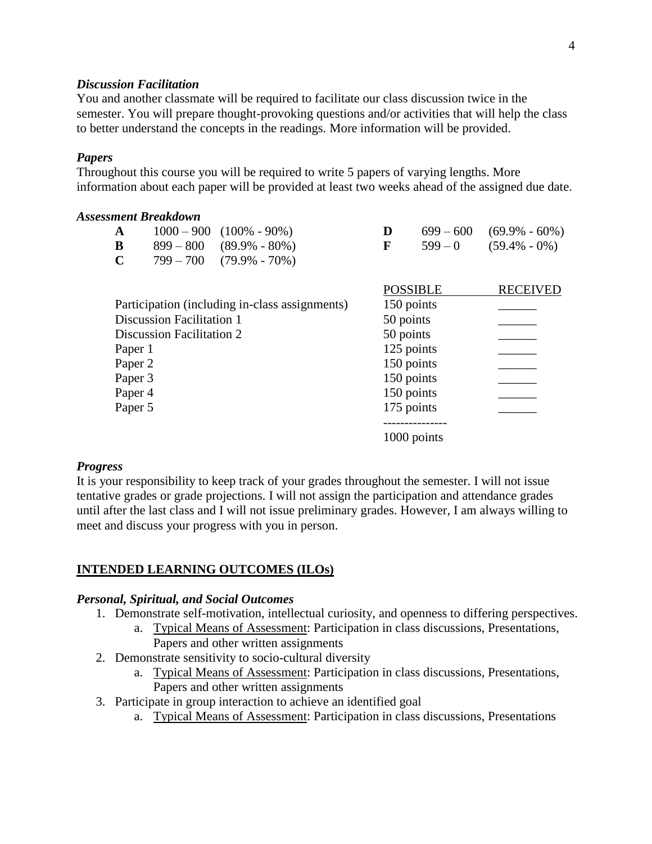#### *Discussion Facilitation*

You and another classmate will be required to facilitate our class discussion twice in the semester. You will prepare thought-provoking questions and/or activities that will help the class to better understand the concepts in the readings. More information will be provided.

#### *Papers*

Throughout this course you will be required to write 5 papers of varying lengths. More information about each paper will be provided at least two weeks ahead of the assigned due date.

| <b>Assessment Breakdown</b> |                                  |                                                |           |                 |                   |
|-----------------------------|----------------------------------|------------------------------------------------|-----------|-----------------|-------------------|
| A                           |                                  | $1000 - 900$ $(100\% - 90\%)$                  | D         | $699 - 600$     | $(69.9\% - 60\%)$ |
| B                           | $899 - 800$                      | $(89.9\% - 80\%)$                              | F         | $599 - 0$       | $(59.4\% - 0\%)$  |
| $\mathbf C$                 | $799 - 700$                      | $(79.9\% - 70\%)$                              |           |                 |                   |
|                             |                                  |                                                |           | <b>POSSIBLE</b> | <b>RECEIVED</b>   |
|                             |                                  | Participation (including in-class assignments) |           | 150 points      |                   |
|                             | <b>Discussion Facilitation 1</b> |                                                | 50 points |                 |                   |
|                             | <b>Discussion Facilitation 2</b> |                                                | 50 points |                 |                   |
| Paper 1                     |                                  |                                                |           | 125 points      |                   |
| Paper 2                     |                                  |                                                |           | 150 points      |                   |
| Paper 3                     |                                  |                                                |           | 150 points      |                   |
| Paper 4                     |                                  |                                                |           | 150 points      |                   |
| Paper 5                     |                                  |                                                |           | 175 points      |                   |
|                             |                                  |                                                |           | 1000 points     |                   |

#### *Progress*

It is your responsibility to keep track of your grades throughout the semester. I will not issue tentative grades or grade projections. I will not assign the participation and attendance grades until after the last class and I will not issue preliminary grades. However, I am always willing to meet and discuss your progress with you in person.

#### **INTENDED LEARNING OUTCOMES (ILOs)**

#### *Personal, Spiritual, and Social Outcomes*

- 1. Demonstrate self-motivation, intellectual curiosity, and openness to differing perspectives.
	- a. Typical Means of Assessment: Participation in class discussions, Presentations, Papers and other written assignments
- 2. Demonstrate sensitivity to socio-cultural diversity
	- a. Typical Means of Assessment: Participation in class discussions, Presentations, Papers and other written assignments
- 3. Participate in group interaction to achieve an identified goal
	- a. Typical Means of Assessment: Participation in class discussions, Presentations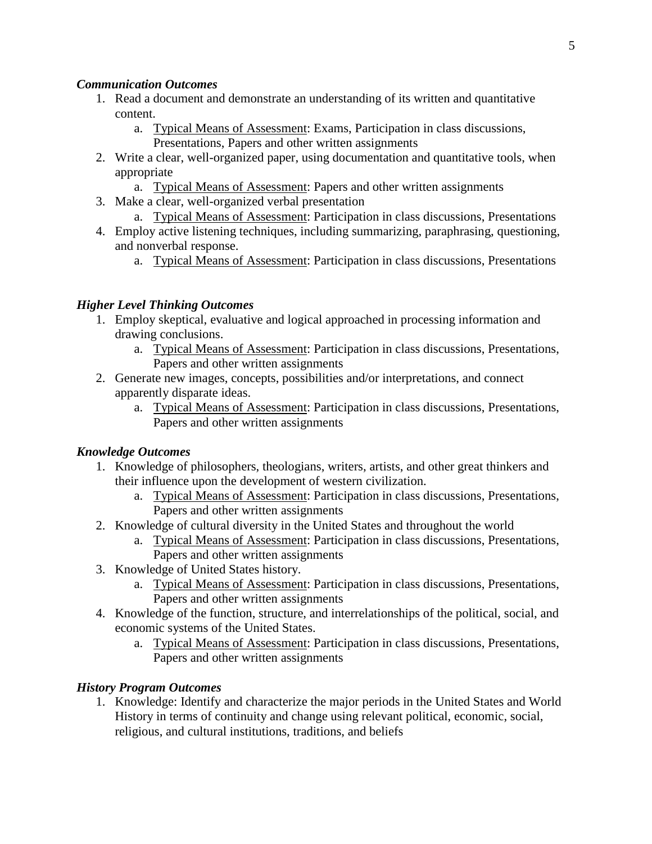## *Communication Outcomes*

- 1. Read a document and demonstrate an understanding of its written and quantitative content.
	- a. Typical Means of Assessment: Exams, Participation in class discussions, Presentations, Papers and other written assignments
- 2. Write a clear, well-organized paper, using documentation and quantitative tools, when appropriate
	- a. Typical Means of Assessment: Papers and other written assignments
- 3. Make a clear, well-organized verbal presentation
	- a. Typical Means of Assessment: Participation in class discussions, Presentations
- 4. Employ active listening techniques, including summarizing, paraphrasing, questioning, and nonverbal response.
	- a. Typical Means of Assessment: Participation in class discussions, Presentations

# *Higher Level Thinking Outcomes*

- 1. Employ skeptical, evaluative and logical approached in processing information and drawing conclusions.
	- a. Typical Means of Assessment: Participation in class discussions, Presentations, Papers and other written assignments
- 2. Generate new images, concepts, possibilities and/or interpretations, and connect apparently disparate ideas.
	- a. Typical Means of Assessment: Participation in class discussions, Presentations, Papers and other written assignments

# *Knowledge Outcomes*

- 1. Knowledge of philosophers, theologians, writers, artists, and other great thinkers and their influence upon the development of western civilization.
	- a. Typical Means of Assessment: Participation in class discussions, Presentations, Papers and other written assignments
- 2. Knowledge of cultural diversity in the United States and throughout the world
	- a. Typical Means of Assessment: Participation in class discussions, Presentations, Papers and other written assignments
- 3. Knowledge of United States history.
	- a. Typical Means of Assessment: Participation in class discussions, Presentations, Papers and other written assignments
- 4. Knowledge of the function, structure, and interrelationships of the political, social, and economic systems of the United States.
	- a. Typical Means of Assessment: Participation in class discussions, Presentations, Papers and other written assignments

# *History Program Outcomes*

1. Knowledge: Identify and characterize the major periods in the United States and World History in terms of continuity and change using relevant political, economic, social, religious, and cultural institutions, traditions, and beliefs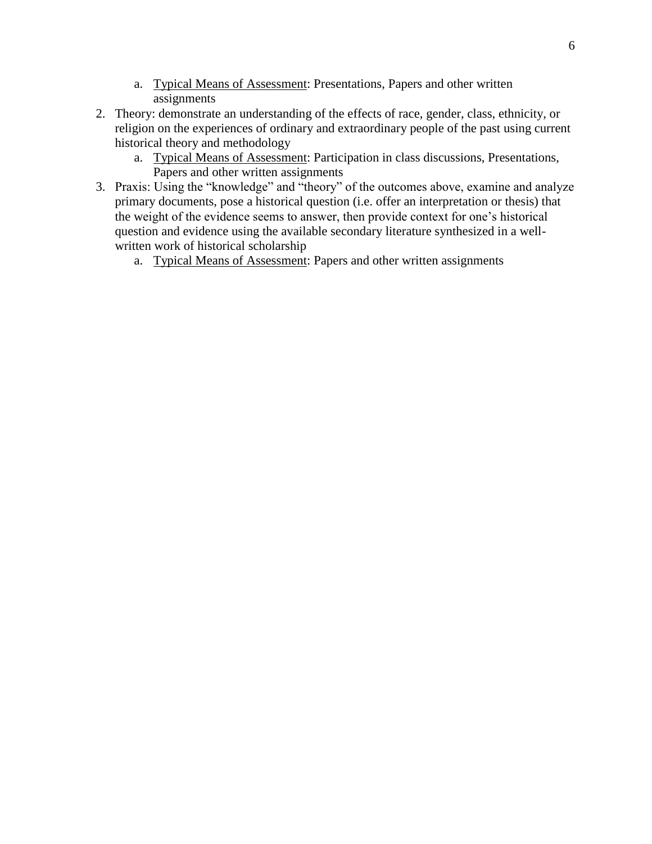- a. Typical Means of Assessment: Presentations, Papers and other written assignments
- 2. Theory: demonstrate an understanding of the effects of race, gender, class, ethnicity, or religion on the experiences of ordinary and extraordinary people of the past using current historical theory and methodology
	- a. Typical Means of Assessment: Participation in class discussions, Presentations, Papers and other written assignments
- 3. Praxis: Using the "knowledge" and "theory" of the outcomes above, examine and analyze primary documents, pose a historical question (i.e. offer an interpretation or thesis) that the weight of the evidence seems to answer, then provide context for one's historical question and evidence using the available secondary literature synthesized in a wellwritten work of historical scholarship
	- a. Typical Means of Assessment: Papers and other written assignments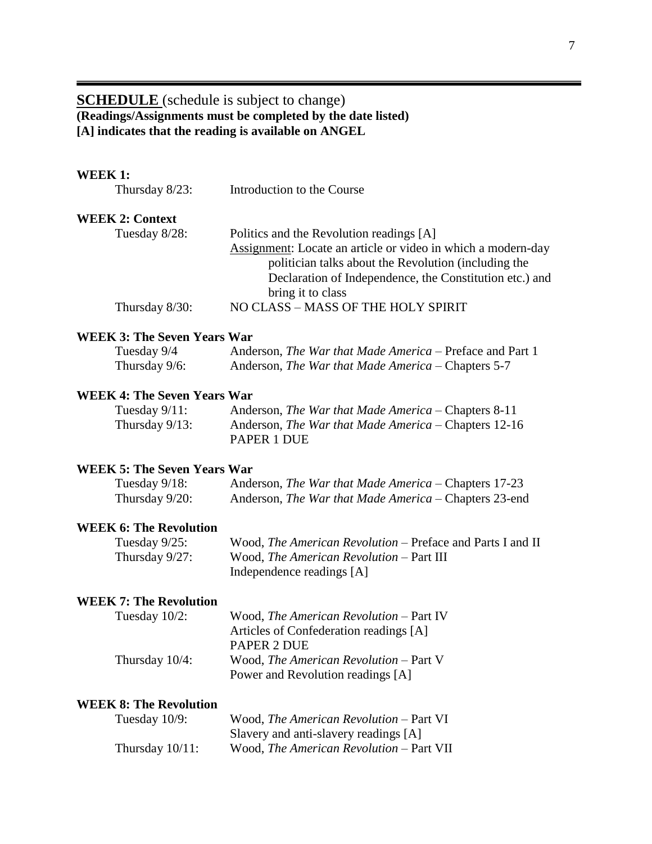# **SCHEDULE** (schedule is subject to change) **(Readings/Assignments must be completed by the date listed) [A] indicates that the reading is available on ANGEL**

| WEEK 1:                            |                                                                                                                                                                                                                                                         |
|------------------------------------|---------------------------------------------------------------------------------------------------------------------------------------------------------------------------------------------------------------------------------------------------------|
| Thursday $8/23$ :                  | Introduction to the Course                                                                                                                                                                                                                              |
| <b>WEEK 2: Context</b>             |                                                                                                                                                                                                                                                         |
| Tuesday 8/28:                      | Politics and the Revolution readings [A]<br><b>Assignment:</b> Locate an article or video in which a modern-day<br>politician talks about the Revolution (including the<br>Declaration of Independence, the Constitution etc.) and<br>bring it to class |
| Thursday 8/30:                     | NO CLASS - MASS OF THE HOLY SPIRIT                                                                                                                                                                                                                      |
| <b>WEEK 3: The Seven Years War</b> |                                                                                                                                                                                                                                                         |
| Tuesday 9/4                        | Anderson, The War that Made America - Preface and Part 1                                                                                                                                                                                                |
| Thursday 9/6:                      | Anderson, The War that Made America - Chapters 5-7                                                                                                                                                                                                      |
| <b>WEEK 4: The Seven Years War</b> |                                                                                                                                                                                                                                                         |
| Tuesday $9/11$ :                   | Anderson, The War that Made America - Chapters 8-11                                                                                                                                                                                                     |
| Thursday $9/13$ :                  | Anderson, The War that Made America - Chapters 12-16<br><b>PAPER 1 DUE</b>                                                                                                                                                                              |
| <b>WEEK 5: The Seven Years War</b> |                                                                                                                                                                                                                                                         |
| Tuesday $9/18$ :                   | Anderson, The War that Made America – Chapters 17-23                                                                                                                                                                                                    |
| Thursday $9/20$ :                  | Anderson, <i>The War that Made America</i> – Chapters 23-end                                                                                                                                                                                            |
| <b>WEEK 6: The Revolution</b>      |                                                                                                                                                                                                                                                         |
| Tuesday 9/25:                      | Wood, The American Revolution – Preface and Parts I and II                                                                                                                                                                                              |
| Thursday 9/27:                     | Wood, The American Revolution - Part III<br>Independence readings [A]                                                                                                                                                                                   |
| <b>WEEK 7: The Revolution</b>      |                                                                                                                                                                                                                                                         |
| Tuesday 10/2:                      | Wood, The American Revolution - Part IV<br>Articles of Confederation readings [A]<br>PAPER 2 DUE                                                                                                                                                        |
| Thursday 10/4:                     | Wood, The American Revolution – Part V<br>Power and Revolution readings [A]                                                                                                                                                                             |
| <b>WEEK 8: The Revolution</b>      |                                                                                                                                                                                                                                                         |
| Tuesday 10/9:                      | Wood, The American Revolution - Part VI<br>Slavery and anti-slavery readings [A]                                                                                                                                                                        |
| Thursday $10/11$ :                 | Wood, The American Revolution - Part VII                                                                                                                                                                                                                |
|                                    |                                                                                                                                                                                                                                                         |